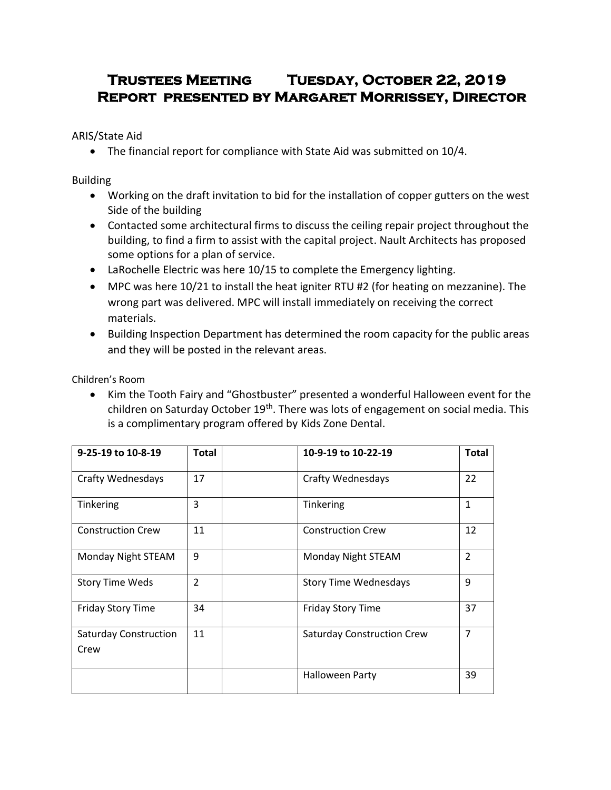# **Trustees Meeting Tuesday, October 22, 2019 Report presented by Margaret Morrissey, Director**

ARIS/State Aid

• The financial report for compliance with State Aid was submitted on 10/4.

Building

- Working on the draft invitation to bid for the installation of copper gutters on the west Side of the building
- Contacted some architectural firms to discuss the ceiling repair project throughout the building, to find a firm to assist with the capital project. Nault Architects has proposed some options for a plan of service.
- LaRochelle Electric was here 10/15 to complete the Emergency lighting.
- MPC was here 10/21 to install the heat igniter RTU #2 (for heating on mezzanine). The wrong part was delivered. MPC will install immediately on receiving the correct materials.
- Building Inspection Department has determined the room capacity for the public areas and they will be posted in the relevant areas.

Children's Room

 Kim the Tooth Fairy and "Ghostbuster" presented a wonderful Halloween event for the children on Saturday October 19<sup>th</sup>. There was lots of engagement on social media. This is a complimentary program offered by Kids Zone Dental.

| 9-25-19 to 10-8-19                   | <b>Total</b>   | 10-9-19 to 10-22-19               | <b>Total</b>   |
|--------------------------------------|----------------|-----------------------------------|----------------|
| <b>Crafty Wednesdays</b>             | 17             | <b>Crafty Wednesdays</b>          | 22             |
| Tinkering                            | 3              | Tinkering                         | $\mathbf{1}$   |
| <b>Construction Crew</b>             | 11             | <b>Construction Crew</b>          | 12             |
| Monday Night STEAM                   | 9              | Monday Night STEAM                | $\overline{2}$ |
| <b>Story Time Weds</b>               | $\overline{2}$ | <b>Story Time Wednesdays</b>      | 9              |
| <b>Friday Story Time</b>             | 34             | <b>Friday Story Time</b>          | 37             |
| <b>Saturday Construction</b><br>Crew | 11             | <b>Saturday Construction Crew</b> | $\overline{7}$ |
|                                      |                | <b>Halloween Party</b>            | 39             |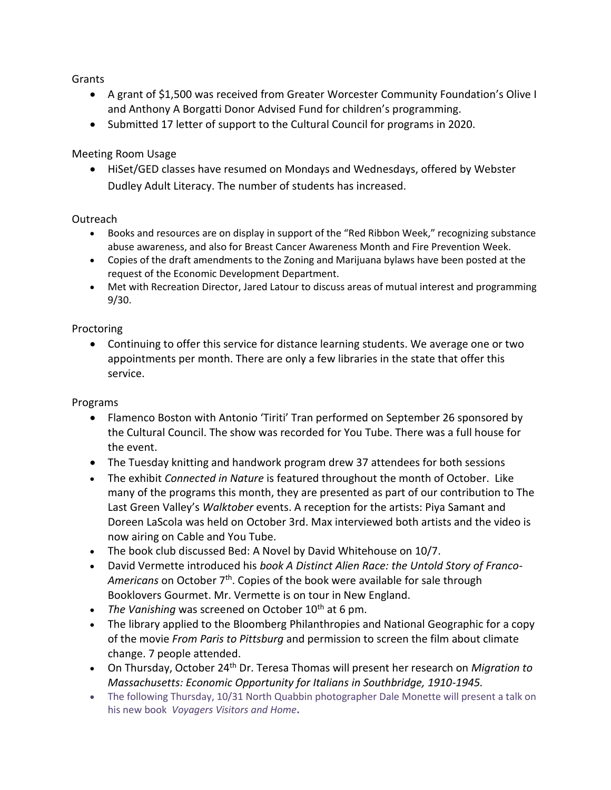Grants

- A grant of \$1,500 was received from Greater Worcester Community Foundation's Olive I and Anthony A Borgatti Donor Advised Fund for children's programming.
- Submitted 17 letter of support to the Cultural Council for programs in 2020.

Meeting Room Usage

 HiSet/GED classes have resumed on Mondays and Wednesdays, offered by Webster Dudley Adult Literacy. The number of students has increased.

#### **Outreach**

- Books and resources are on display in support of the "Red Ribbon Week," recognizing substance abuse awareness, and also for Breast Cancer Awareness Month and Fire Prevention Week.
- Copies of the draft amendments to the Zoning and Marijuana bylaws have been posted at the request of the Economic Development Department.
- Met with Recreation Director, Jared Latour to discuss areas of mutual interest and programming 9/30.

#### Proctoring

 Continuing to offer this service for distance learning students. We average one or two appointments per month. There are only a few libraries in the state that offer this service.

Programs

- Flamenco Boston with Antonio 'Tiriti' Tran performed on September 26 sponsored by the Cultural Council. The show was recorded for You Tube. There was a full house for the event.
- The Tuesday knitting and handwork program drew 37 attendees for both sessions
- The exhibit *Connected in Nature* is featured throughout the month of October. Like many of the programs this month, they are presented as part of our contribution to The Last Green Valley's *Walktober* events. A reception for the artists: Piya Samant and Doreen LaScola was held on October 3rd. Max interviewed both artists and the video is now airing on Cable and You Tube.
- The book club discussed Bed: A Novel by David Whitehouse on 10/7.
- David Vermette introduced his *book A Distinct Alien Race: the Untold Story of Franco-*Americans on October 7<sup>th</sup>. Copies of the book were available for sale through Booklovers Gourmet. Mr. Vermette is on tour in New England.
- The Vanishing was screened on October 10<sup>th</sup> at 6 pm.
- The library applied to the Bloomberg Philanthropies and National Geographic for a copy of the movie *From Paris to Pittsburg* and permission to screen the film about climate change. 7 people attended.
- On Thursday, October 24th Dr. Teresa Thomas will present her research on *Migration to Massachusetts: Economic Opportunity for Italians in Southbridge, 1910-1945.*
- The following Thursday, 10/31 North Quabbin photographer Dale Monette will present a talk on his new book *Voyagers Visitors and Home***.**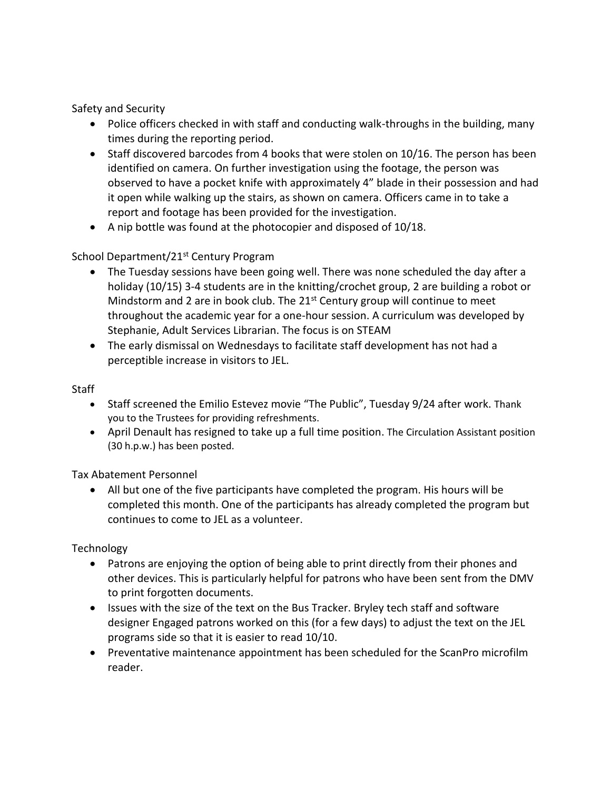Safety and Security

- Police officers checked in with staff and conducting walk-throughs in the building, many times during the reporting period.
- $\bullet$  Staff discovered barcodes from 4 books that were stolen on 10/16. The person has been identified on camera. On further investigation using the footage, the person was observed to have a pocket knife with approximately 4" blade in their possession and had it open while walking up the stairs, as shown on camera. Officers came in to take a report and footage has been provided for the investigation.
- A nip bottle was found at the photocopier and disposed of 10/18.

## School Department/21<sup>st</sup> Century Program

- The Tuesday sessions have been going well. There was none scheduled the day after a holiday (10/15) 3-4 students are in the knitting/crochet group, 2 are building a robot or Mindstorm and 2 are in book club. The  $21<sup>st</sup>$  Century group will continue to meet throughout the academic year for a one-hour session. A curriculum was developed by Stephanie, Adult Services Librarian. The focus is on STEAM
- The early dismissal on Wednesdays to facilitate staff development has not had a perceptible increase in visitors to JEL.

Staff

- Staff screened the Emilio Estevez movie "The Public", Tuesday 9/24 after work. Thank you to the Trustees for providing refreshments.
- April Denault has resigned to take up a full time position. The Circulation Assistant position (30 h.p.w.) has been posted.

Tax Abatement Personnel

 All but one of the five participants have completed the program. His hours will be completed this month. One of the participants has already completed the program but continues to come to JEL as a volunteer.

Technology

- Patrons are enjoying the option of being able to print directly from their phones and other devices. This is particularly helpful for patrons who have been sent from the DMV to print forgotten documents.
- Issues with the size of the text on the Bus Tracker. Bryley tech staff and software designer Engaged patrons worked on this (for a few days) to adjust the text on the JEL programs side so that it is easier to read 10/10.
- Preventative maintenance appointment has been scheduled for the ScanPro microfilm reader.